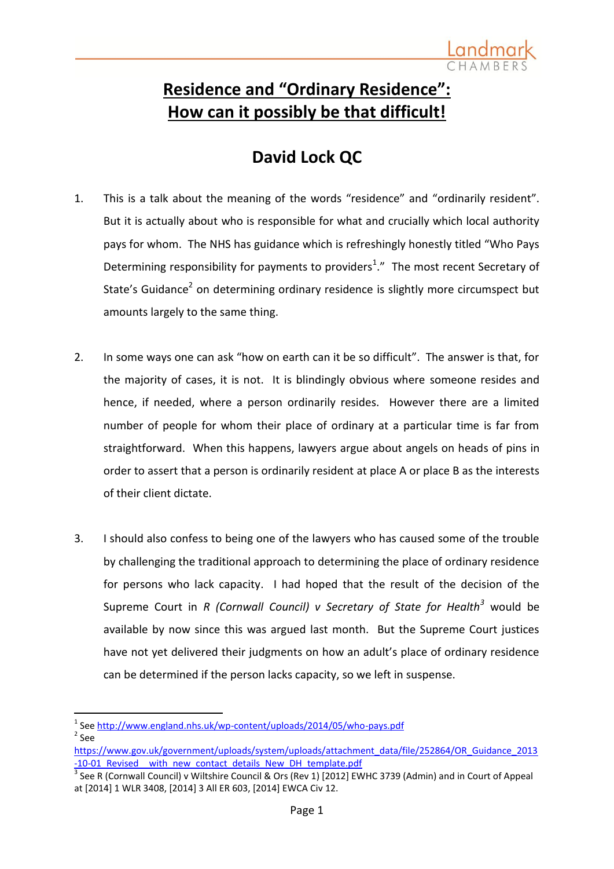# **Residence and "Ordinary Residence": How can it possibly be that difficult!**

## **David Lock QC**

- 1. This is a talk about the meaning of the words "residence" and "ordinarily resident". But it is actually about who is responsible for what and crucially which local authority pays for whom. The NHS has guidance which is refreshingly honestly titled "Who Pays Determining responsibility for payments to providers<sup>1</sup>." The most recent Secretary of State's Guidance<sup>2</sup> on determining ordinary residence is slightly more circumspect but amounts largely to the same thing.
- 2. In some ways one can ask "how on earth can it be so difficult". The answer is that, for the majority of cases, it is not. It is blindingly obvious where someone resides and hence, if needed, where a person ordinarily resides. However there are a limited number of people for whom their place of ordinary at a particular time is far from straightforward. When this happens, lawyers argue about angels on heads of pins in order to assert that a person is ordinarily resident at place A or place B as the interests of their client dictate.
- 3. I should also confess to being one of the lawyers who has caused some of the trouble by challenging the traditional approach to determining the place of ordinary residence for persons who lack capacity. I had hoped that the result of the decision of the Supreme Court in *R (Cornwall Council) v Secretary of State for Health<sup>3</sup>* would be available by now since this was argued last month. But the Supreme Court justices have not yet delivered their judgments on how an adult's place of ordinary residence can be determined if the person lacks capacity, so we left in suspense.

 1 See<http://www.england.nhs.uk/wp-content/uploads/2014/05/who-pays.pdf>  $2$  See

[https://www.gov.uk/government/uploads/system/uploads/attachment\\_data/file/252864/OR\\_Guidance\\_2013](https://www.gov.uk/government/uploads/system/uploads/attachment_data/file/252864/OR_Guidance_2013-10-01_Revised__with_new_contact_details_New_DH_template.pdf) -10-01 Revised with new contact details New DH template.pdf

<sup>&</sup>lt;sup>3</sup> See R (Cornwall Council) v Wiltshire Council & Ors (Rev 1) [2012] EWHC 3739 (Admin) and in Court of Appeal at [2014] 1 WLR 3408, [2014] 3 All ER 603, [2014] EWCA Civ 12.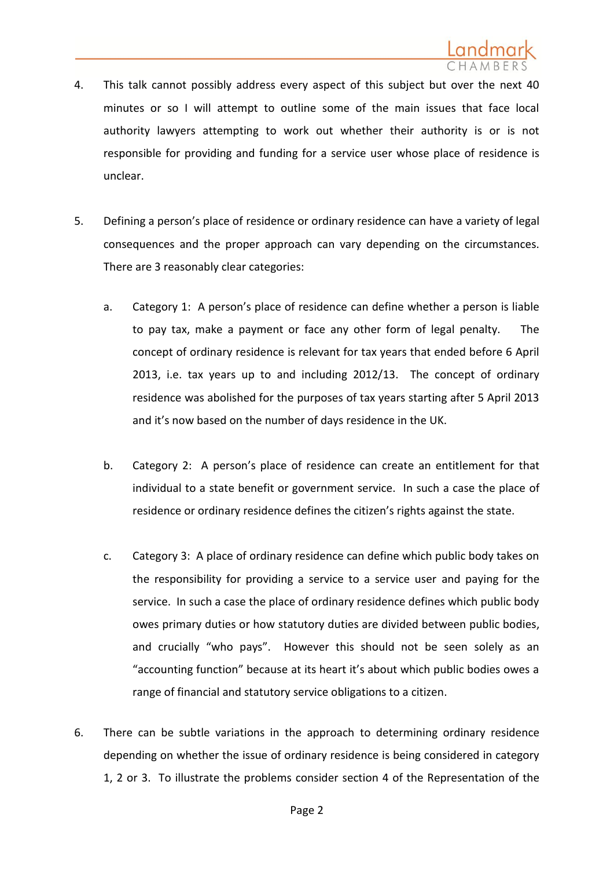- 4. This talk cannot possibly address every aspect of this subject but over the next 40 minutes or so I will attempt to outline some of the main issues that face local authority lawyers attempting to work out whether their authority is or is not responsible for providing and funding for a service user whose place of residence is unclear.
- 5. Defining a person's place of residence or ordinary residence can have a variety of legal consequences and the proper approach can vary depending on the circumstances. There are 3 reasonably clear categories:
	- a. Category 1: A person's place of residence can define whether a person is liable to pay tax, make a payment or face any other form of legal penalty. The concept of ordinary residence is relevant for tax years that ended before 6 April 2013, i.e. tax years up to and including 2012/13. The concept of ordinary residence was abolished for the purposes of tax years starting after 5 April 2013 and it's now based on the number of days residence in the UK.
	- b. Category 2: A person's place of residence can create an entitlement for that individual to a state benefit or government service. In such a case the place of residence or ordinary residence defines the citizen's rights against the state.
	- c. Category 3: A place of ordinary residence can define which public body takes on the responsibility for providing a service to a service user and paying for the service. In such a case the place of ordinary residence defines which public body owes primary duties or how statutory duties are divided between public bodies, and crucially "who pays". However this should not be seen solely as an "accounting function" because at its heart it's about which public bodies owes a range of financial and statutory service obligations to a citizen.
- 6. There can be subtle variations in the approach to determining ordinary residence depending on whether the issue of ordinary residence is being considered in category 1, 2 or 3. To illustrate the problems consider section 4 of the Representation of the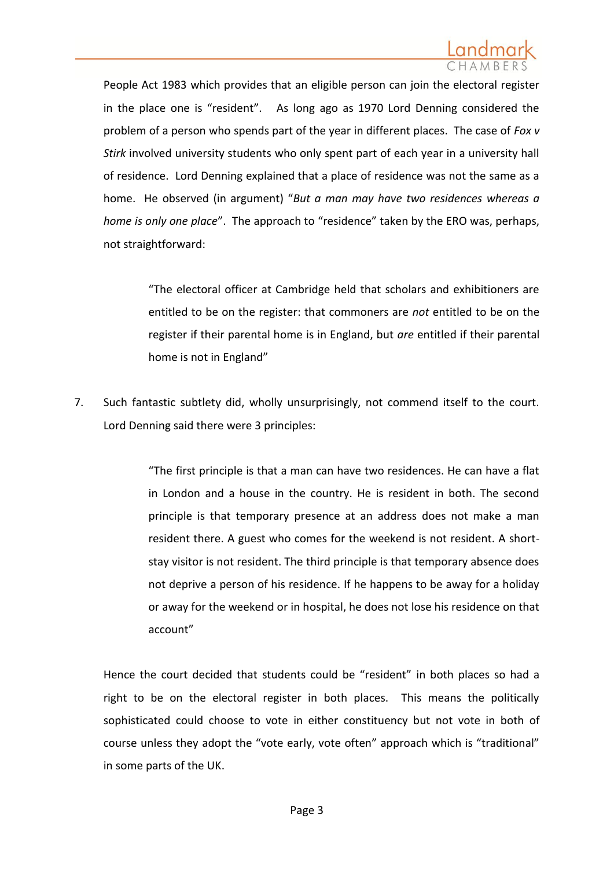People Act 1983 which provides that an eligible person can join the electoral register in the place one is "resident". As long ago as 1970 Lord Denning considered the problem of a person who spends part of the year in different places. The case of *Fox v Stirk* involved university students who only spent part of each year in a university hall of residence. Lord Denning explained that a place of residence was not the same as a home. He observed (in argument) "*But a man may have two residences whereas a home is only one place*". The approach to "residence" taken by the ERO was, perhaps, not straightforward:

> "The electoral officer at Cambridge held that scholars and exhibitioners are entitled to be on the register: that commoners are *not* entitled to be on the register if their parental home is in England, but *are* entitled if their parental home is not in England"

7. Such fantastic subtlety did, wholly unsurprisingly, not commend itself to the court. Lord Denning said there were 3 principles:

> "The first principle is that a man can have two residences. He can have a flat in London and a house in the country. He is resident in both. The second principle is that temporary presence at an address does not make a man resident there. A guest who comes for the weekend is not resident. A shortstay visitor is not resident. The third principle is that temporary absence does not deprive a person of his residence. If he happens to be away for a holiday or away for the weekend or in hospital, he does not lose his residence on that account"

Hence the court decided that students could be "resident" in both places so had a right to be on the electoral register in both places. This means the politically sophisticated could choose to vote in either constituency but not vote in both of course unless they adopt the "vote early, vote often" approach which is "traditional" in some parts of the UK.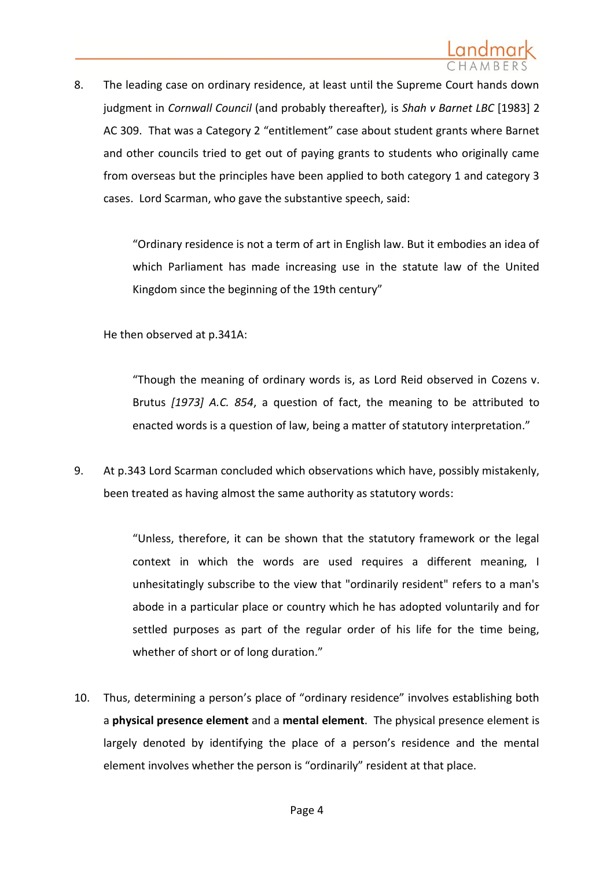8. The leading case on ordinary residence, at least until the Supreme Court hands down judgment in *Cornwall Council* (and probably thereafter)*,* is *Shah v Barnet LBC* [1983] 2 AC 309. That was a Category 2 "entitlement" case about student grants where Barnet and other councils tried to get out of paying grants to students who originally came from overseas but the principles have been applied to both category 1 and category 3 cases. Lord Scarman, who gave the substantive speech, said:

> "Ordinary residence is not a term of art in English law. But it embodies an idea of which Parliament has made increasing use in the statute law of the United Kingdom since the beginning of the 19th century"

He then observed at p.341A:

"Though the meaning of ordinary words is, as Lord Reid observed in Cozens v. Brutus *[1973] A.C. 854*, a question of fact, the meaning to be attributed to enacted words is a question of law, being a matter of statutory interpretation."

9. At p.343 Lord Scarman concluded which observations which have, possibly mistakenly, been treated as having almost the same authority as statutory words:

> "Unless, therefore, it can be shown that the statutory framework or the legal context in which the words are used requires a different meaning, I unhesitatingly subscribe to the view that "ordinarily resident" refers to a man's abode in a particular place or country which he has adopted voluntarily and for settled purposes as part of the regular order of his life for the time being, whether of short or of long duration."

10. Thus, determining a person's place of "ordinary residence" involves establishing both a **physical presence element** and a **mental element**. The physical presence element is largely denoted by identifying the place of a person's residence and the mental element involves whether the person is "ordinarily" resident at that place.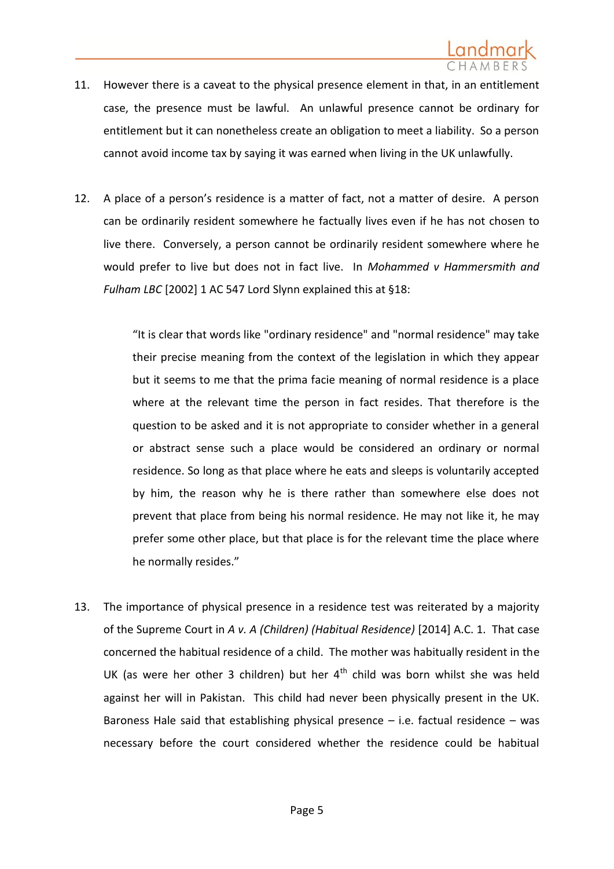- 11. However there is a caveat to the physical presence element in that, in an entitlement case, the presence must be lawful. An unlawful presence cannot be ordinary for entitlement but it can nonetheless create an obligation to meet a liability. So a person cannot avoid income tax by saying it was earned when living in the UK unlawfully.
- 12. A place of a person's residence is a matter of fact, not a matter of desire. A person can be ordinarily resident somewhere he factually lives even if he has not chosen to live there. Conversely, a person cannot be ordinarily resident somewhere where he would prefer to live but does not in fact live. In *Mohammed v Hammersmith and Fulham LBC* [2002] 1 AC 547 Lord Slynn explained this at §18:

"It is clear that words like "ordinary residence" and "normal residence" may take their precise meaning from the context of the legislation in which they appear but it seems to me that the prima facie meaning of normal residence is a place where at the relevant time the person in fact resides. That therefore is the question to be asked and it is not appropriate to consider whether in a general or abstract sense such a place would be considered an ordinary or normal residence. So long as that place where he eats and sleeps is voluntarily accepted by him, the reason why he is there rather than somewhere else does not prevent that place from being his normal residence. He may not like it, he may prefer some other place, but that place is for the relevant time the place where he normally resides."

13. The importance of physical presence in a residence test was reiterated by a majority of the Supreme Court in *A v. A (Children) (Habitual Residence)* [2014] A.C. 1. That case concerned the habitual residence of a child. The mother was habitually resident in the UK (as were her other 3 children) but her  $4<sup>th</sup>$  child was born whilst she was held against her will in Pakistan. This child had never been physically present in the UK. Baroness Hale said that establishing physical presence  $-$  i.e. factual residence  $-$  was necessary before the court considered whether the residence could be habitual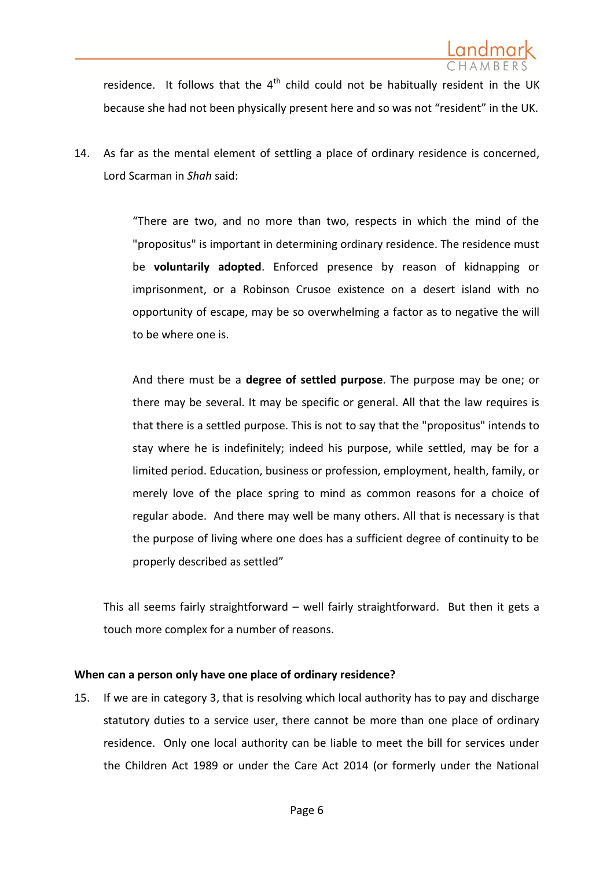residence. It follows that the  $4<sup>th</sup>$  child could not be habitually resident in the UK because she had not been physically present here and so was not "resident" in the UK.

14. As far as the mental element of settling a place of ordinary residence is concerned, Lord Scarman in *Shah* said:

> "There are two, and no more than two, respects in which the mind of the "propositus" is important in determining ordinary residence. The residence must be **voluntarily adopted**. Enforced presence by reason of kidnapping or imprisonment, or a Robinson Crusoe existence on a desert island with no opportunity of escape, may be so overwhelming a factor as to negative the will to be where one is.

> And there must be a **degree of settled purpose**. The purpose may be one; or there may be several. It may be specific or general. All that the law requires is that there is a settled purpose. This is not to say that the "propositus" intends to stay where he is indefinitely; indeed his purpose, while settled, may be for a limited period. Education, business or profession, employment, health, family, or merely love of the place spring to mind as common reasons for a choice of regular abode. And there may well be many others. All that is necessary is that the purpose of living where one does has a sufficient degree of continuity to be properly described as settled"

This all seems fairly straightforward – well fairly straightforward. But then it gets a touch more complex for a number of reasons.

#### **When can a person only have one place of ordinary residence?**

15. If we are in category 3, that is resolving which local authority has to pay and discharge statutory duties to a service user, there cannot be more than one place of ordinary residence. Only one local authority can be liable to meet the bill for services under the Children Act 1989 or under the Care Act 2014 (or formerly under the National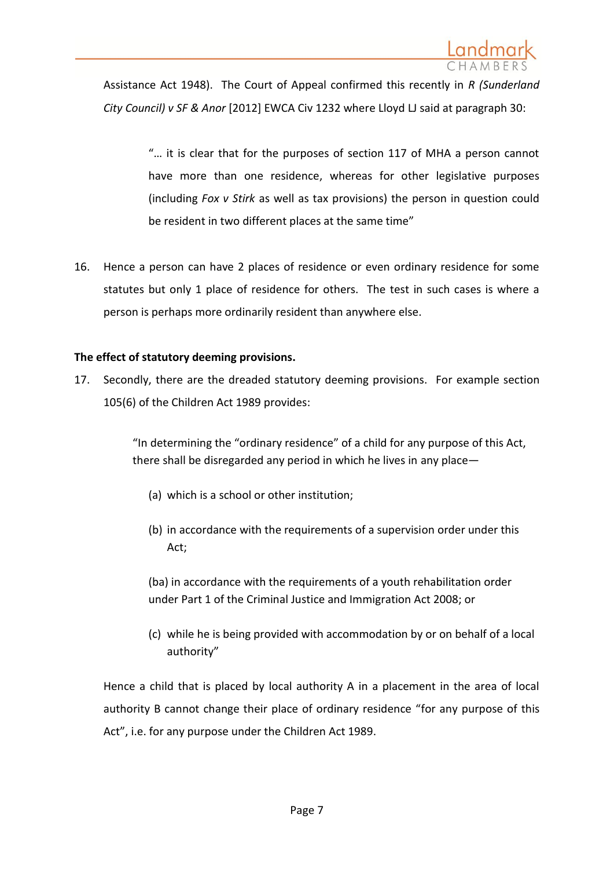

Assistance Act 1948). The Court of Appeal confirmed this recently in *R (Sunderland City Council) v SF & Anor* [2012] EWCA Civ 1232 where Lloyd LJ said at paragraph 30:

"… it is clear that for the purposes of section 117 of MHA a person cannot have more than one residence, whereas for other legislative purposes (including *Fox v Stirk* as well as tax provisions) the person in question could be resident in two different places at the same time"

16. Hence a person can have 2 places of residence or even ordinary residence for some statutes but only 1 place of residence for others. The test in such cases is where a person is perhaps more ordinarily resident than anywhere else.

### **The effect of statutory deeming provisions.**

17. Secondly, there are the dreaded statutory deeming provisions. For example section 105(6) of the Children Act 1989 provides:

> "In determining the "ordinary residence" of a child for any purpose of this Act, there shall be disregarded any period in which he lives in any place—

- (a) which is a school or other institution;
- (b) in accordance with the requirements of a supervision order under this Act;

(ba) in accordance with the requirements of a youth rehabilitation order under Part 1 of the Criminal Justice and Immigration Act 2008; or

(c) while he is being provided with accommodation by or on behalf of a local authority"

Hence a child that is placed by local authority A in a placement in the area of local authority B cannot change their place of ordinary residence "for any purpose of this Act", i.e. for any purpose under the Children Act 1989.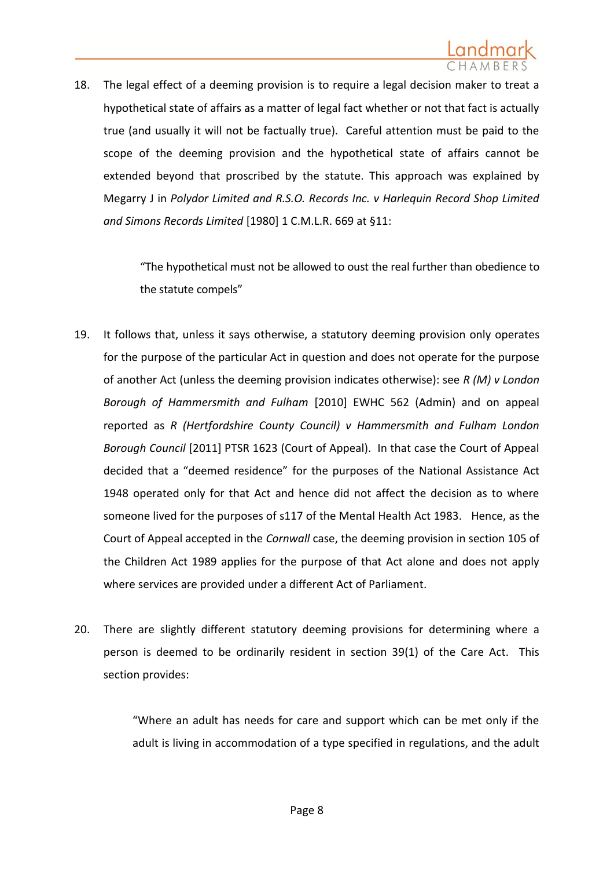18. The legal effect of a deeming provision is to require a legal decision maker to treat a hypothetical state of affairs as a matter of legal fact whether or not that fact is actually true (and usually it will not be factually true). Careful attention must be paid to the scope of the deeming provision and the hypothetical state of affairs cannot be extended beyond that proscribed by the statute. This approach was explained by Megarry J in *Polydor Limited and R.S.O. Records Inc. v Harlequin Record Shop Limited and Simons Records Limited* [1980] 1 C.M.L.R. 669 at §11:

> "The hypothetical must not be allowed to oust the real further than obedience to the statute compels"

- 19. It follows that, unless it says otherwise, a statutory deeming provision only operates for the purpose of the particular Act in question and does not operate for the purpose of another Act (unless the deeming provision indicates otherwise): see *R (M) v London Borough of Hammersmith and Fulham* [2010] EWHC 562 (Admin) and on appeal reported as *R (Hertfordshire County Council) v Hammersmith and Fulham London Borough Council* [2011] PTSR 1623 (Court of Appeal). In that case the Court of Appeal decided that a "deemed residence" for the purposes of the National Assistance Act 1948 operated only for that Act and hence did not affect the decision as to where someone lived for the purposes of s117 of the Mental Health Act 1983. Hence, as the Court of Appeal accepted in the *Cornwall* case, the deeming provision in section 105 of the Children Act 1989 applies for the purpose of that Act alone and does not apply where services are provided under a different Act of Parliament.
- 20. There are slightly different statutory deeming provisions for determining where a person is deemed to be ordinarily resident in section 39(1) of the Care Act. This section provides:

"Where an adult has needs for care and support which can be met only if the adult is living in accommodation of a type specified in regulations, and the adult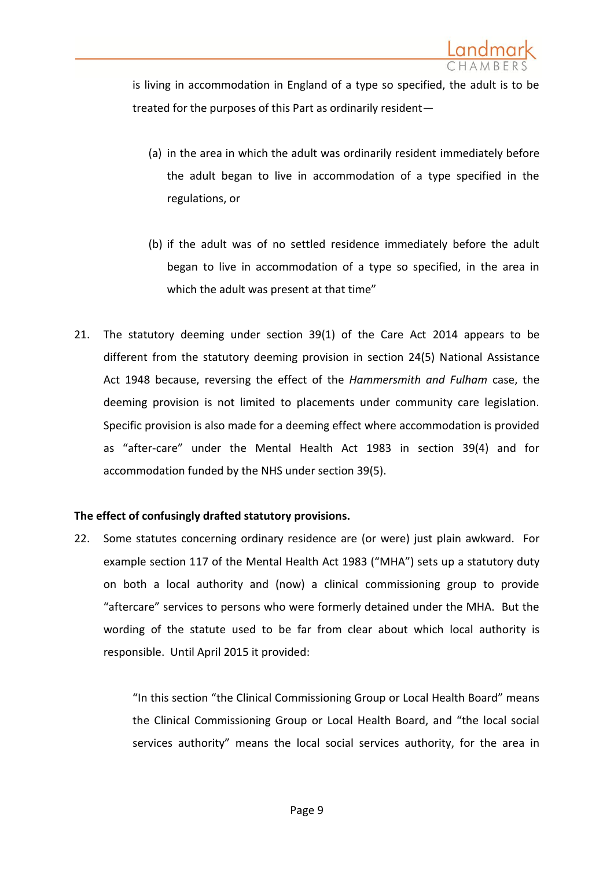is living in accommodation in England of a type so specified, the adult is to be treated for the purposes of this Part as ordinarily resident—

- (a) in the area in which the adult was ordinarily resident immediately before the adult began to live in accommodation of a type specified in the regulations, or
- (b) if the adult was of no settled residence immediately before the adult began to live in accommodation of a type so specified, in the area in which the adult was present at that time"
- 21. The statutory deeming under section 39(1) of the Care Act 2014 appears to be different from the statutory deeming provision in section 24(5) National Assistance Act 1948 because, reversing the effect of the *Hammersmith and Fulham* case, the deeming provision is not limited to placements under community care legislation. Specific provision is also made for a deeming effect where accommodation is provided as "after-care" under the Mental Health Act 1983 in section 39(4) and for accommodation funded by the NHS under section 39(5).

#### **The effect of confusingly drafted statutory provisions.**

22. Some statutes concerning ordinary residence are (or were) just plain awkward. For example section 117 of the Mental Health Act 1983 ("MHA") sets up a statutory duty on both a local authority and (now) a clinical commissioning group to provide "aftercare" services to persons who were formerly detained under the MHA. But the wording of the statute used to be far from clear about which local authority is responsible. Until April 2015 it provided:

> "In this section "the Clinical Commissioning Group or Local Health Board" means the Clinical Commissioning Group or Local Health Board, and "the local social services authority" means the local social services authority, for the area in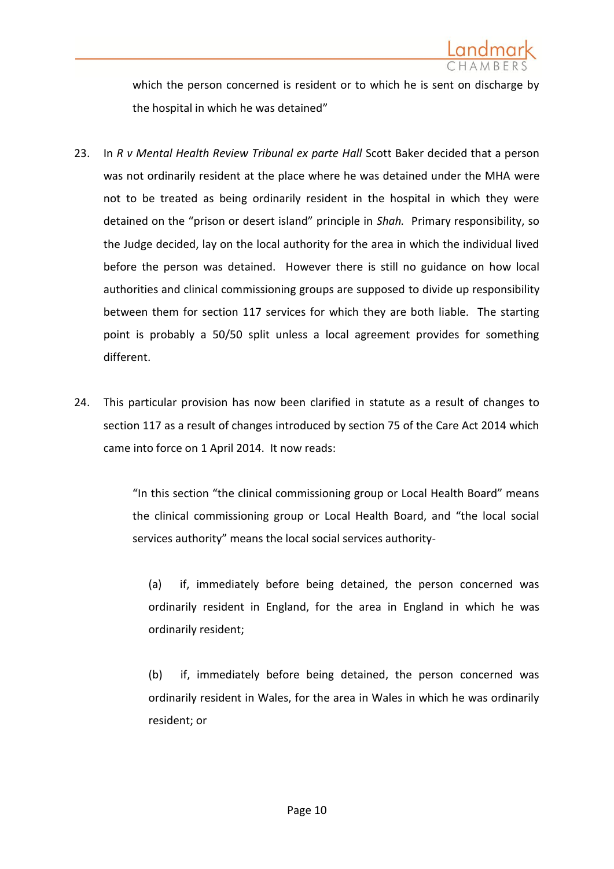

which the person concerned is resident or to which he is sent on discharge by the hospital in which he was detained"

- 23. In *R v Mental Health Review Tribunal ex parte Hall* Scott Baker decided that a person was not ordinarily resident at the place where he was detained under the MHA were not to be treated as being ordinarily resident in the hospital in which they were detained on the "prison or desert island" principle in *Shah.* Primary responsibility, so the Judge decided, lay on the local authority for the area in which the individual lived before the person was detained. However there is still no guidance on how local authorities and clinical commissioning groups are supposed to divide up responsibility between them for section 117 services for which they are both liable. The starting point is probably a 50/50 split unless a local agreement provides for something different.
- 24. This particular provision has now been clarified in statute as a result of changes to section 117 as a result of changes introduced by section 75 of the Care Act 2014 which came into force on 1 April 2014. It now reads:

"In this section "the clinical commissioning group or Local Health Board" means the clinical commissioning group or Local Health Board, and "the local social services authority" means the local social services authority-

(a) if, immediately before being detained, the person concerned was ordinarily resident in England, for the area in England in which he was ordinarily resident;

(b) if, immediately before being detained, the person concerned was ordinarily resident in Wales, for the area in Wales in which he was ordinarily resident; or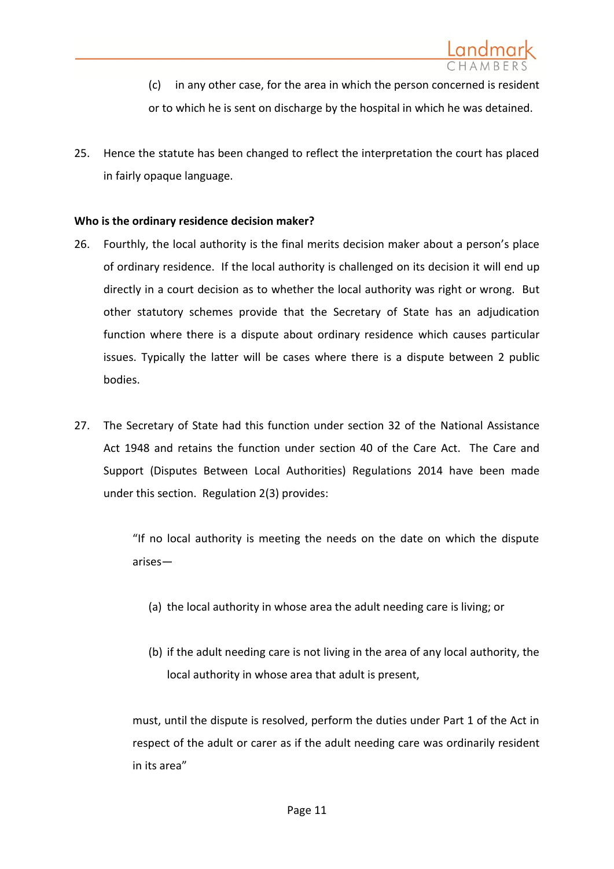(c) in any other case, for the area in which the person concerned is resident or to which he is sent on discharge by the hospital in which he was detained.

25. Hence the statute has been changed to reflect the interpretation the court has placed in fairly opaque language.

#### **Who is the ordinary residence decision maker?**

- 26. Fourthly, the local authority is the final merits decision maker about a person's place of ordinary residence. If the local authority is challenged on its decision it will end up directly in a court decision as to whether the local authority was right or wrong. But other statutory schemes provide that the Secretary of State has an adjudication function where there is a dispute about ordinary residence which causes particular issues. Typically the latter will be cases where there is a dispute between 2 public bodies.
- 27. The Secretary of State had this function under section 32 of the National Assistance Act 1948 and retains the function under section 40 of the Care Act. The Care and Support (Disputes Between Local Authorities) Regulations 2014 have been made under this section. Regulation 2(3) provides:

"If no local authority is meeting the needs on the date on which the dispute arises—

- (a) the local authority in whose area the adult needing care is living; or
- (b) if the adult needing care is not living in the area of any local authority, the local authority in whose area that adult is present,

must, until the dispute is resolved, perform the duties under Part 1 of the Act in respect of the adult or carer as if the adult needing care was ordinarily resident in its area"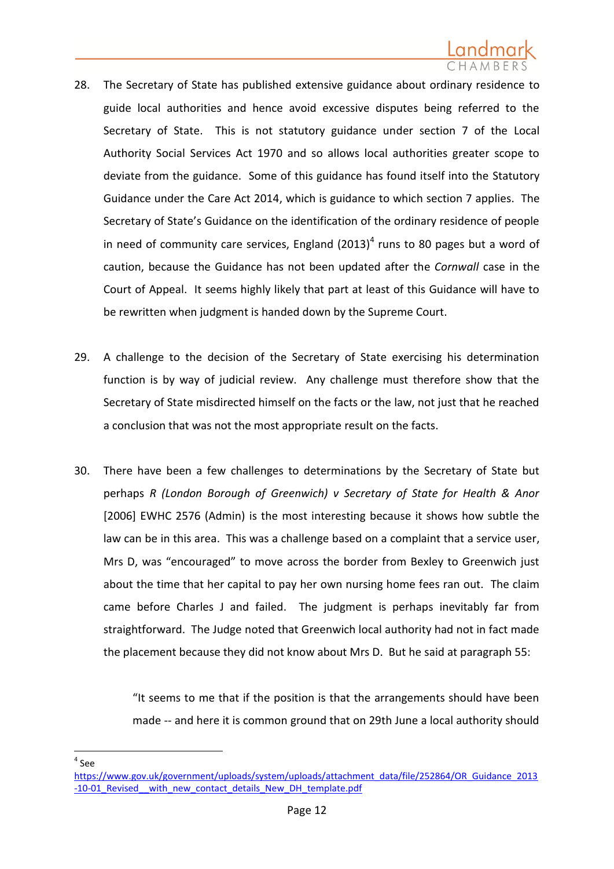- 28. The Secretary of State has published extensive guidance about ordinary residence to guide local authorities and hence avoid excessive disputes being referred to the Secretary of State. This is not statutory guidance under section 7 of the Local Authority Social Services Act 1970 and so allows local authorities greater scope to deviate from the guidance. Some of this guidance has found itself into the Statutory Guidance under the Care Act 2014, which is guidance to which section 7 applies. The Secretary of State's Guidance on the identification of the ordinary residence of people in need of community care services, England  $(2013)^4$  runs to 80 pages but a word of caution, because the Guidance has not been updated after the *Cornwall* case in the Court of Appeal. It seems highly likely that part at least of this Guidance will have to be rewritten when judgment is handed down by the Supreme Court.
- 29. A challenge to the decision of the Secretary of State exercising his determination function is by way of judicial review. Any challenge must therefore show that the Secretary of State misdirected himself on the facts or the law, not just that he reached a conclusion that was not the most appropriate result on the facts.
- 30. There have been a few challenges to determinations by the Secretary of State but perhaps *R (London Borough of Greenwich) v Secretary of State for Health & Anor* [2006] EWHC 2576 (Admin) is the most interesting because it shows how subtle the law can be in this area. This was a challenge based on a complaint that a service user, Mrs D, was "encouraged" to move across the border from Bexley to Greenwich just about the time that her capital to pay her own nursing home fees ran out. The claim came before Charles J and failed. The judgment is perhaps inevitably far from straightforward. The Judge noted that Greenwich local authority had not in fact made the placement because they did not know about Mrs D. But he said at paragraph 55:

"It seems to me that if the position is that the arrangements should have been made -- and here it is common ground that on 29th June a local authority should

1 4 See

[https://www.gov.uk/government/uploads/system/uploads/attachment\\_data/file/252864/OR\\_Guidance\\_2013](https://www.gov.uk/government/uploads/system/uploads/attachment_data/file/252864/OR_Guidance_2013-10-01_Revised__with_new_contact_details_New_DH_template.pdf) -10-01 Revised with new contact details New DH template.pdf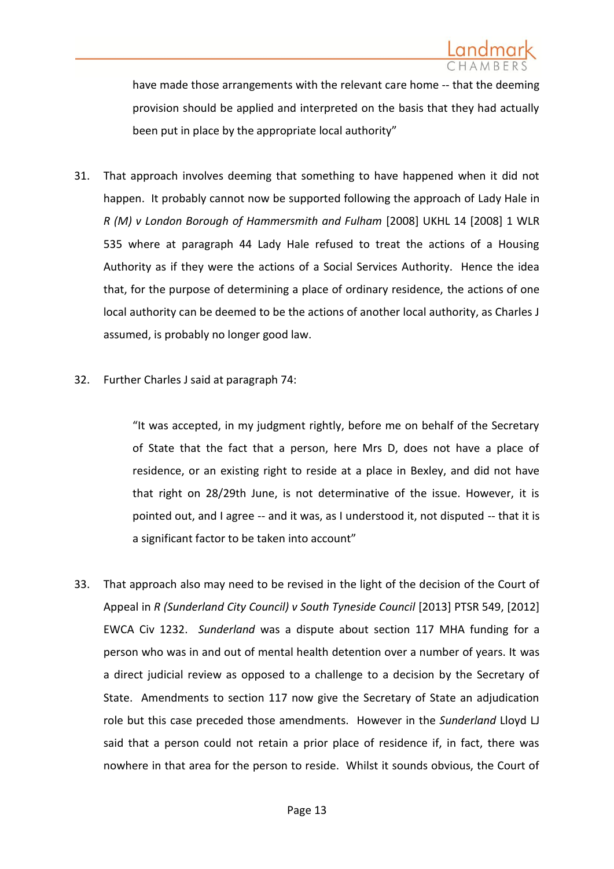have made those arrangements with the relevant care home -- that the deeming provision should be applied and interpreted on the basis that they had actually been put in place by the appropriate local authority"

- 31. That approach involves deeming that something to have happened when it did not happen. It probably cannot now be supported following the approach of Lady Hale in *R (M) v London Borough of Hammersmith and Fulham* [2008] UKHL 14 [2008] 1 WLR 535 where at paragraph 44 Lady Hale refused to treat the actions of a Housing Authority as if they were the actions of a Social Services Authority. Hence the idea that, for the purpose of determining a place of ordinary residence, the actions of one local authority can be deemed to be the actions of another local authority, as Charles J assumed, is probably no longer good law.
- 32. Further Charles J said at paragraph 74:

"It was accepted, in my judgment rightly, before me on behalf of the Secretary of State that the fact that a person, here Mrs D, does not have a place of residence, or an existing right to reside at a place in Bexley, and did not have that right on 28/29th June, is not determinative of the issue. However, it is pointed out, and I agree -- and it was, as I understood it, not disputed -- that it is a significant factor to be taken into account"

33. That approach also may need to be revised in the light of the decision of the Court of Appeal in *R (Sunderland City Council) v South Tyneside Council* [2013] PTSR 549, [2012] EWCA Civ 1232. *Sunderland* was a dispute about section 117 MHA funding for a person who was in and out of mental health detention over a number of years. It was a direct judicial review as opposed to a challenge to a decision by the Secretary of State. Amendments to section 117 now give the Secretary of State an adjudication role but this case preceded those amendments. However in the *Sunderland* Lloyd LJ said that a person could not retain a prior place of residence if, in fact, there was nowhere in that area for the person to reside. Whilst it sounds obvious, the Court of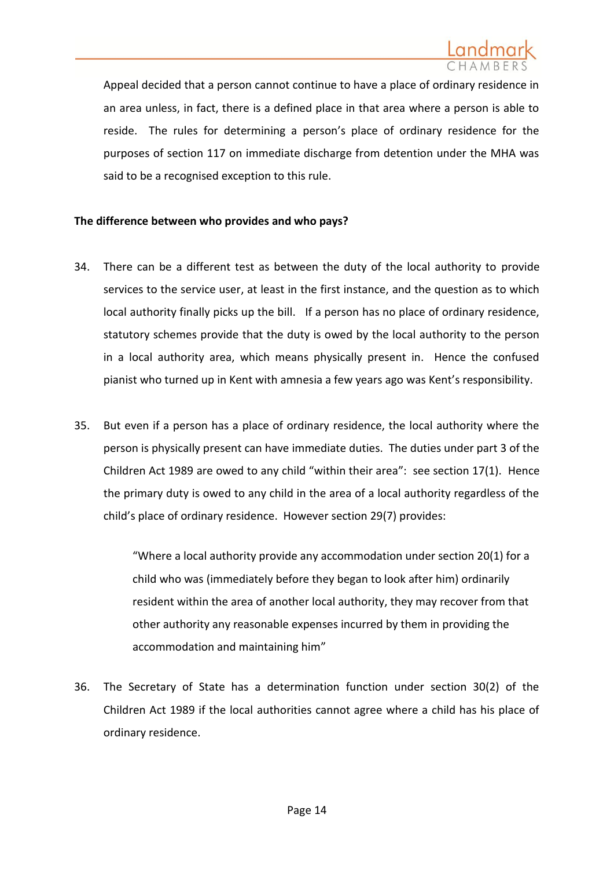Appeal decided that a person cannot continue to have a place of ordinary residence in an area unless, in fact, there is a defined place in that area where a person is able to reside. The rules for determining a person's place of ordinary residence for the purposes of section 117 on immediate discharge from detention under the MHA was said to be a recognised exception to this rule.

### **The difference between who provides and who pays?**

- 34. There can be a different test as between the duty of the local authority to provide services to the service user, at least in the first instance, and the question as to which local authority finally picks up the bill. If a person has no place of ordinary residence, statutory schemes provide that the duty is owed by the local authority to the person in a local authority area, which means physically present in. Hence the confused pianist who turned up in Kent with amnesia a few years ago was Kent's responsibility.
- 35. But even if a person has a place of ordinary residence, the local authority where the person is physically present can have immediate duties. The duties under part 3 of the Children Act 1989 are owed to any child "within their area": see section 17(1). Hence the primary duty is owed to any child in the area of a local authority regardless of the child's place of ordinary residence. However section 29(7) provides:

"Where a local authority provide any accommodation under section 20(1) for a child who was (immediately before they began to look after him) ordinarily resident within the area of another local authority, they may recover from that other authority any reasonable expenses incurred by them in providing the accommodation and maintaining him"

36. The Secretary of State has a determination function under section 30(2) of the Children Act 1989 if the local authorities cannot agree where a child has his place of ordinary residence.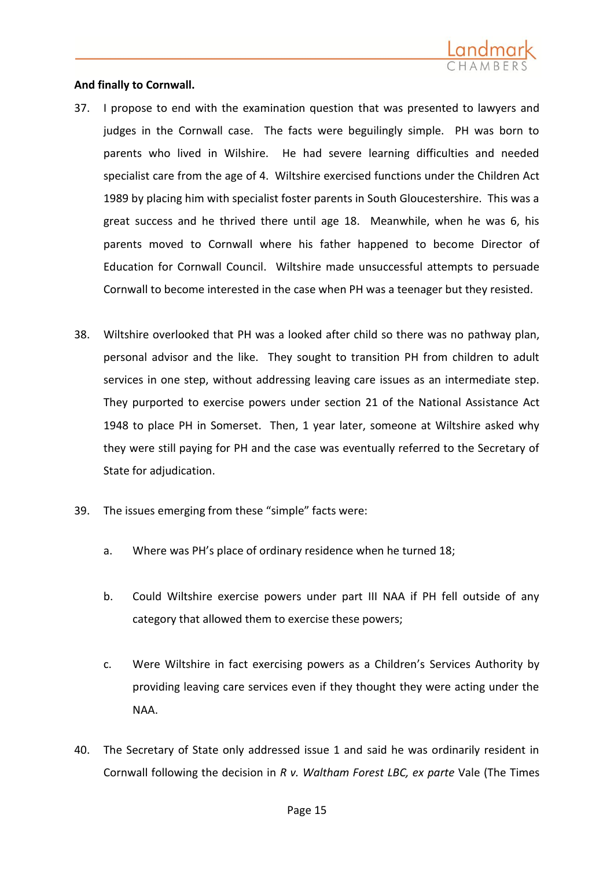

#### **And finally to Cornwall.**

- 37. I propose to end with the examination question that was presented to lawyers and judges in the Cornwall case. The facts were beguilingly simple. PH was born to parents who lived in Wilshire. He had severe learning difficulties and needed specialist care from the age of 4. Wiltshire exercised functions under the Children Act 1989 by placing him with specialist foster parents in South Gloucestershire. This was a great success and he thrived there until age 18. Meanwhile, when he was 6, his parents moved to Cornwall where his father happened to become Director of Education for Cornwall Council. Wiltshire made unsuccessful attempts to persuade Cornwall to become interested in the case when PH was a teenager but they resisted.
- 38. Wiltshire overlooked that PH was a looked after child so there was no pathway plan, personal advisor and the like. They sought to transition PH from children to adult services in one step, without addressing leaving care issues as an intermediate step. They purported to exercise powers under section 21 of the National Assistance Act 1948 to place PH in Somerset. Then, 1 year later, someone at Wiltshire asked why they were still paying for PH and the case was eventually referred to the Secretary of State for adjudication.
- 39. The issues emerging from these "simple" facts were:
	- a. Where was PH's place of ordinary residence when he turned 18;
	- b. Could Wiltshire exercise powers under part III NAA if PH fell outside of any category that allowed them to exercise these powers;
	- c. Were Wiltshire in fact exercising powers as a Children's Services Authority by providing leaving care services even if they thought they were acting under the NAA.
- 40. The Secretary of State only addressed issue 1 and said he was ordinarily resident in Cornwall following the decision in *R v. Waltham Forest LBC, ex parte* Vale (The Times